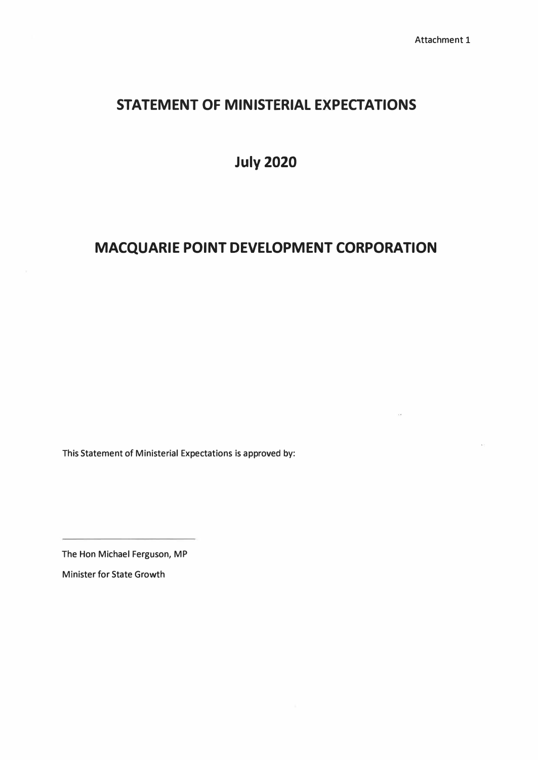# **STATEMENT OF MINISTERIAL EXPECTATIONS**

**July 2020** 

# **MACQUARIE POINT DEVELOPMENT CORPORATION**

This Statement of Ministerial Expectations is approved by:

The Hon Michael Ferguson, MP Minister for State Growth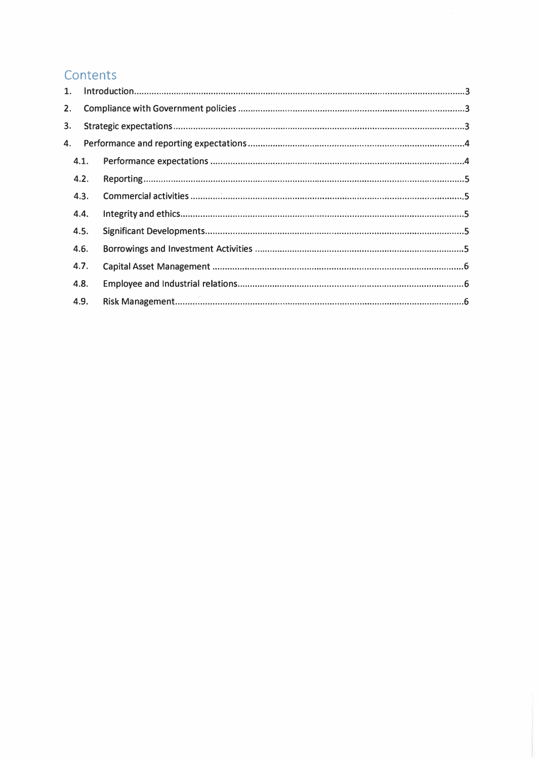# Contents

| 1.   |  |
|------|--|
| 2.   |  |
| 3.   |  |
| 4.   |  |
| 4.1. |  |
| 4.2. |  |
| 4.3. |  |
| 4.4. |  |
| 4.5. |  |
| 4.6. |  |
| 4.7. |  |
| 4.8. |  |
| 4.9. |  |
|      |  |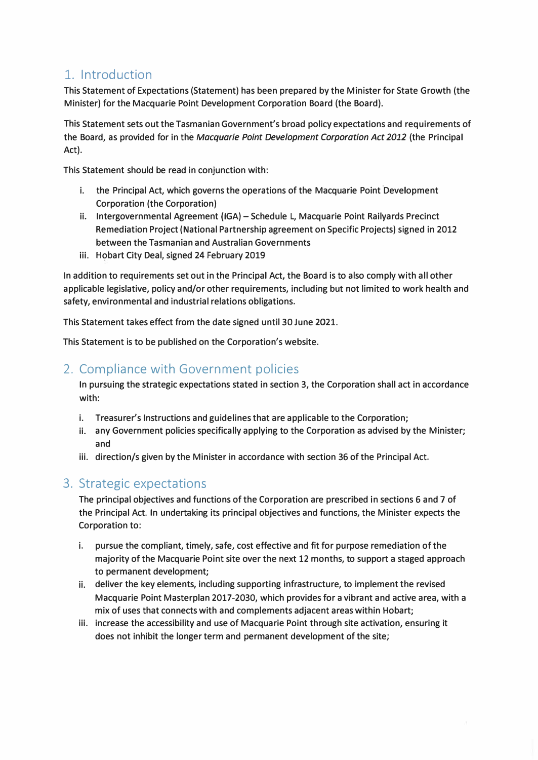## 1. Introduction

This Statement of Expectations (Statement) has been prepared by the Minister for State Growth (the Minister) for the Macquarie Point Development Corporation Board (the Board).

This Statement sets out the Tasmanian Government's broad policy expectations and requirements of the Board, as provided for in the *Macquarie Point Development Corporation Act 2012* (the Principal Act).

This Statement should be read in conjunction with:

- i. the Principal Act, which governs the operations of the Macquarie Point Development Corporation (the Corporation)
- ii. Intergovernmental Agreement (IGA) Schedule L, Macquarie Point Railyards Precinct Remediation Project (National Partnership agreement on Specific Projects) signed in 2012 between the Tasmanian and Australian Governments
- **iii.** Hobart City Deal, signed 24 February 2019

In addition to requirements set out in the Principal Act, the Board is to also comply with all other applicable legislative, policy and/or other requirements, including but not limited to work health and safety, environmental and industrial relations obligations.

This Statement takes effect from the date signed until 30 June 2021.

This Statement is to be published on the Corporation's website.

## 2. Compliance with Government policies

In pursuing the strategic expectations stated in section 3, the Corporation shall act in accordance with:

- i. Treasurer's Instructions and guidelines that are applicable to the Corporation;
- ii. any Government policies specifically applying to the Corporation as advised by the Minister; and
- iii. direction/s given by the Minister in accordance with section 36 of the Principal Act.

## 3. Strategic expectations

The principal objectives and functions of the Corporation are prescribed in sections 6 and 7 of the Principal Act. In undertaking its principal objectives and functions, the Minister expects the Corporation to:

- i. pursue the compliant, timely, safe, cost effective and fit for purpose remediation of the majority of the Macquarie Point site over the next 12 months, to support a staged approach to permanent development;
- ii. deliver the key elements, including supporting infrastructure, to implement the revised Macquarie Point Masterplan 2017-2030, which provides for a vibrant and active area, with a mix of uses that connects with and complements adjacent areas within Hobart;
- iii. increase the accessibility and use of Macquarie Point through site activation, ensuring it does not inhibit the longer term and permanent development of the site;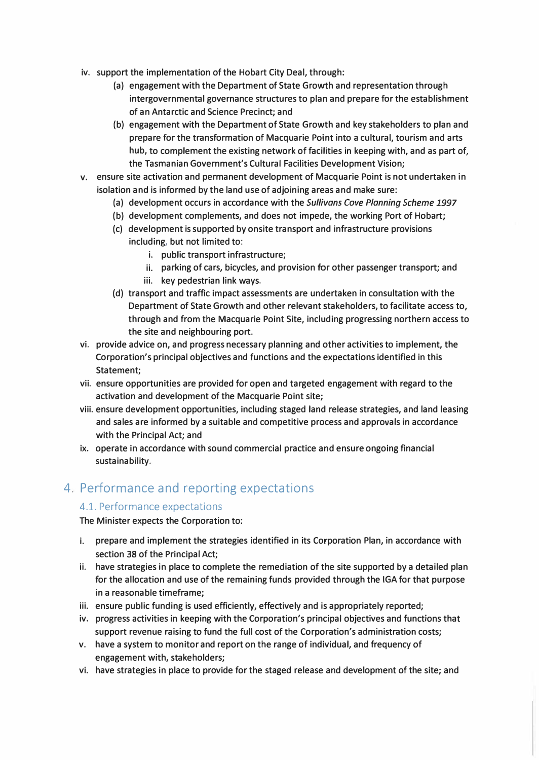- **iv. support the implementation of the Hobart City Deal, through:**
	- **(a) engagement with the Department of State Growth and representation through intergovernmental governance structures to plan and prepare for the establishment of an Antarctic and Science Precinct; and**
	- **(b) engagement with the Department of State Growth and key stakeholders to plan and prepare for the transformation of Macquarie Point into a cultural, tourism and arts hub, to complement the existing network of facilities in keeping with, and as part of, the Tasmanian Government's Cultural Facilities Development Vision;**
- **v. ensure site activation and permanent development of Macquarie Point is not undertaken in isolation and is informed by the land use of adjoining areas and make sure:**
	- **(a) development occurs in accordance with the** *Sullivans Cove Planning Scheme 1997*
	- **(b) development complements, and does not impede, the working Port of Hobart;**
	- **(c) development is supported by onsite transport and infrastructure provisions including, but not limited to:**
		- **i. public transport infrastructure;**
		- **ii. parking of cars, bicycles, and provision for other passenger transport; and**
		- **iii. key pedestrian link ways.**
	- **(d) transport and traffic impact assessments are undertaken in consultation with the Department of State Growth and other relevant stakeholders, to facilitate access to, through and from the Macquarie Point Site, including progressing northern access to the site and neighbouring port.**
- **vi. provide advice on, and progress necessary planning and other activities to implement, the Corporation's principal objectives and functions and the expectations identified in this Statement;**
- **vii. ensure opportunities are provided for open and targeted engagement with regard to the activation and development of the Macquarie Point site;**
- **viii. ensure development opportunities, including staged land release strategies, and land leasing and sales are informed by a suitable and competitive process and approvals in accordance with the Principal Act; and**
- **ix. operate in accordance with sound commercial practice and ensure ongoing financial sustainability.**

## 4. Performance and reporting expectations

#### 4.1. Performance expectations

**The Minister expects the Corporation to:**

- **i. prepare and implement the strategies identified in its Corporation Plan, in accordance with section 38 of the Principal Act;**
- **ii. have strategies in place to complete the remediation of the site supported by a detailed plan for the allocation and use of the remaining funds provided through the IGA for that purpose in a reasonable timeframe;**
- **iii. ensure public funding is used efficiently, effectively and is appropriately reported;**
- **iv. progress activities in keeping with the Corporation's principal objectives and functions that support revenue raising to fund the full cost of the Corporation's administration costs;**
- **v. have a system to monitor and report on the range of individual, and frequency of engagement with, stakeholders;**
- **vi. have strategies in place to provide for the staged release and development of the site; and**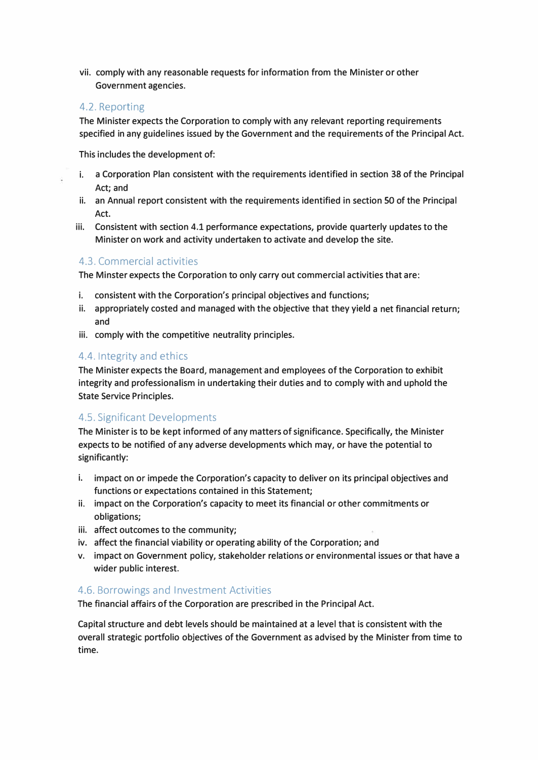vii. comply with any reasonable requests for information from the Minister or other Government agencies.

#### 4.2. Reporting

The Minister expects the Corporation to comply with any relevant reporting requirements specified in any guidelines issued by the Government and the requirements of the Principal Act.

This includes the development of:

- i. a Corporation Plan consistent with the requirements identified in section 38 of the Principal Act; and
- ii. an Annual report consistent with the requirements identified in section SO of the Principal Act.
- iii. Consistent with section 4.1 performance expectations, provide quarterly updates to the Minister on work and activity undertaken to activate and develop the site.

#### 4.3. Commercial activities

The Minster expects the Corporation to only carry out commercial activities that are:

- consistent with the Corporation's principal objectives and functions;
- ii. appropriately costed and managed with the objective that they yield a net financial return; and
- iii. comply with the competitive neutrality principles.

#### 4.4. Integrity and ethics

The Minister expects the Board, management and employees of the Corporation to exhibit integrity and professionalism in undertaking their duties and to comply with and uphold the State Service Principles.

#### 4.5. Significant Developments

The Minister is to be kept informed of any matters of significance. Specifically, the Minister expects to be notified of any adverse developments which may, or have the potential to significantly:

- i. impact on or impede the Corporation's capacity to deliver on its principal objectives and functions or expectations contained in this Statement;
- ii. impact on the Corporation's capacity to meet its financial or other commitments or obligations;
- iii. affect outcomes to the community;
- iv. affect the financial viability or operating ability of the Corporation; and
- v. impact on Government policy, stakeholder relations or environmental issues or that have a wider public interest.

#### 4.6. Borrowings and Investment Activities

The financial affairs of the Corporation are prescribed in the Principal Act.

Capital structure and debt levels should be maintained at a level that is consistent with the overall strategic portfolio objectives of the Government as advised by the Minister from time to time.